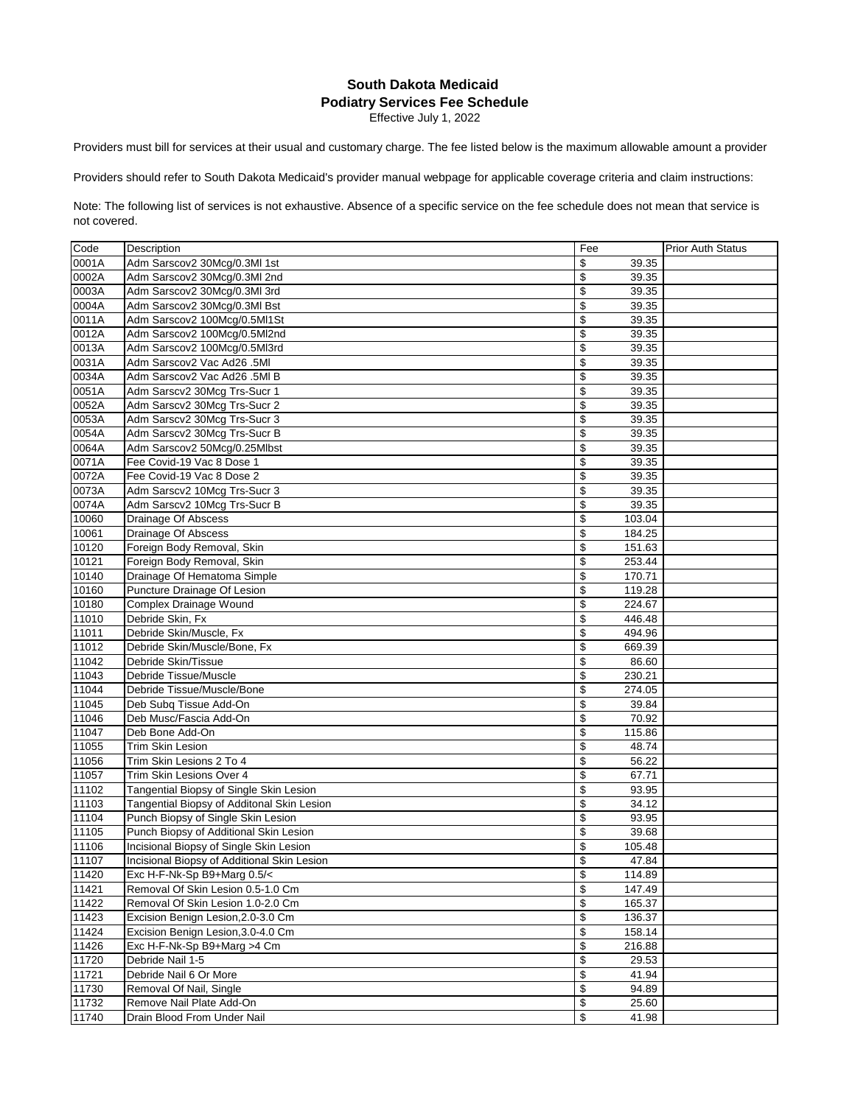## **South Dakota Medicaid Podiatry Services Fee Schedule**

Effective July 1, 2022

Providers must bill for services at their usual and customary charge. The fee listed below is the maximum allowable amount a provider

Providers should refer to South Dakota Medicaid's provider manual webpage for applicable coverage criteria and claim instructions:

Note: The following list of services is not exhaustive. Absence of a specific service on the fee schedule does not mean that service is not covered.

| Code  | Description                                 | Fee          | <b>Prior Auth Status</b> |
|-------|---------------------------------------------|--------------|--------------------------|
| 0001A | Adm Sarscov2 30Mcg/0.3Ml 1st                | \$<br>39.35  |                          |
| 0002A | Adm Sarscov2 30Mcg/0.3Ml 2nd                | \$<br>39.35  |                          |
| 0003A | Adm Sarscov2 30Mcg/0.3Ml 3rd                | \$<br>39.35  |                          |
| 0004A | Adm Sarscov2 30Mcg/0.3Ml Bst                | \$<br>39.35  |                          |
| 0011A | Adm Sarscov2 100Mcg/0.5Ml1St                | \$<br>39.35  |                          |
| 0012A | Adm Sarscov2 100Mcg/0.5Ml2nd                | \$<br>39.35  |                          |
| 0013A | Adm Sarscov2 100Mcg/0.5Ml3rd                | \$<br>39.35  |                          |
| 0031A | Adm Sarscov2 Vac Ad26 .5MI                  | \$<br>39.35  |                          |
| 0034A | Adm Sarscov2 Vac Ad26 .5MI B                | \$<br>39.35  |                          |
| 0051A | Adm Sarscv2 30Mcg Trs-Sucr 1                | \$<br>39.35  |                          |
| 0052A | Adm Sarscv2 30Mcg Trs-Sucr 2                | \$<br>39.35  |                          |
| 0053A | Adm Sarscv2 30Mcg Trs-Sucr 3                | \$<br>39.35  |                          |
| 0054A | Adm Sarscv2 30Mcg Trs-Sucr B                | \$<br>39.35  |                          |
| 0064A | Adm Sarscov2 50Mcg/0.25Mlbst                | \$<br>39.35  |                          |
| 0071A | Fee Covid-19 Vac 8 Dose 1                   | \$<br>39.35  |                          |
| 0072A | Fee Covid-19 Vac 8 Dose 2                   | \$<br>39.35  |                          |
| 0073A | Adm Sarscv2 10Mcg Trs-Sucr 3                | \$<br>39.35  |                          |
| 0074A | Adm Sarscv2 10Mcg Trs-Sucr B                | \$<br>39.35  |                          |
| 10060 | Drainage Of Abscess                         | \$<br>103.04 |                          |
| 10061 | Drainage Of Abscess                         | \$<br>184.25 |                          |
| 10120 | Foreign Body Removal, Skin                  | \$<br>151.63 |                          |
| 10121 | Foreign Body Removal, Skin                  | \$<br>253.44 |                          |
| 10140 | Drainage Of Hematoma Simple                 | \$<br>170.71 |                          |
| 10160 | Puncture Drainage Of Lesion                 | \$<br>119.28 |                          |
| 10180 | Complex Drainage Wound                      | \$<br>224.67 |                          |
| 11010 | Debride Skin, Fx                            | \$<br>446.48 |                          |
| 11011 | Debride Skin/Muscle, Fx                     | \$<br>494.96 |                          |
| 11012 | Debride Skin/Muscle/Bone, Fx                | \$<br>669.39 |                          |
| 11042 | Debride Skin/Tissue                         | \$<br>86.60  |                          |
| 11043 | Debride Tissue/Muscle                       | \$<br>230.21 |                          |
| 11044 | Debride Tissue/Muscle/Bone                  | \$<br>274.05 |                          |
| 11045 | Deb Subq Tissue Add-On                      | \$<br>39.84  |                          |
| 11046 | Deb Musc/Fascia Add-On                      | \$<br>70.92  |                          |
| 11047 | Deb Bone Add-On                             | \$<br>115.86 |                          |
| 11055 | Trim Skin Lesion                            | \$<br>48.74  |                          |
| 11056 | Trim Skin Lesions 2 To 4                    | \$<br>56.22  |                          |
| 11057 | Trim Skin Lesions Over 4                    | \$<br>67.71  |                          |
| 11102 | Tangential Biopsy of Single Skin Lesion     | \$<br>93.95  |                          |
| 11103 | Tangential Biopsy of Additonal Skin Lesion  | \$<br>34.12  |                          |
| 11104 | Punch Biopsy of Single Skin Lesion          | \$<br>93.95  |                          |
| 11105 | Punch Biopsy of Additional Skin Lesion      | \$<br>39.68  |                          |
| 11106 | Incisional Biopsy of Single Skin Lesion     | \$<br>105.48 |                          |
| 11107 | Incisional Biopsy of Additional Skin Lesion | \$<br>47.84  |                          |
| 11420 | Exc H-F-Nk-Sp B9+Marg 0.5/<                 | \$<br>114.89 |                          |
| 11421 | Removal Of Skin Lesion 0.5-1.0 Cm           | \$<br>147.49 |                          |
| 11422 | Removal Of Skin Lesion 1.0-2.0 Cm           | 165.37<br>\$ |                          |
| 11423 | Excision Benign Lesion, 2.0-3.0 Cm          | \$<br>136.37 |                          |
| 11424 | Excision Benign Lesion, 3.0-4.0 Cm          | \$<br>158.14 |                          |
| 11426 | Exc H-F-Nk-Sp B9+Marg >4 Cm                 | \$<br>216.88 |                          |
| 11720 | Debride Nail 1-5                            | \$<br>29.53  |                          |
| 11721 | Debride Nail 6 Or More                      | \$<br>41.94  |                          |
| 11730 | Removal Of Nail, Single                     | \$<br>94.89  |                          |
| 11732 | Remove Nail Plate Add-On                    | \$<br>25.60  |                          |
| 11740 | Drain Blood From Under Nail                 | \$<br>41.98  |                          |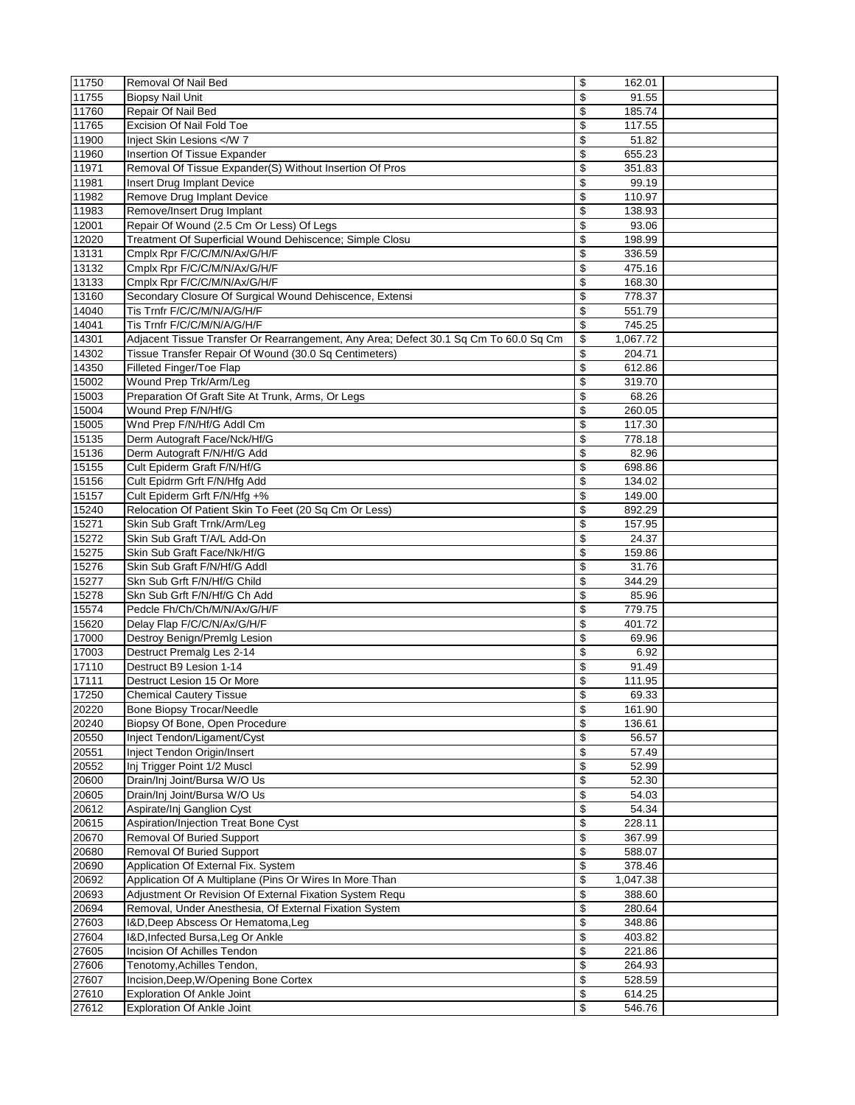| 11750          | Removal Of Nail Bed                                                                  | \$                       | 162.01           |  |
|----------------|--------------------------------------------------------------------------------------|--------------------------|------------------|--|
| 11755          | <b>Biopsy Nail Unit</b>                                                              | \$                       | 91.55            |  |
| 11760          | Repair Of Nail Bed                                                                   | \$                       | 185.74           |  |
| 11765          | Excision Of Nail Fold Toe                                                            | \$                       | 117.55           |  |
| 11900          | Inject Skin Lesions <td>\$</td> <td>51.82</td> <td></td>                             | \$                       | 51.82            |  |
| 11960          | Insertion Of Tissue Expander                                                         | \$                       | 655.23           |  |
| 11971          | Removal Of Tissue Expander(S) Without Insertion Of Pros                              | \$                       | 351.83           |  |
| 11981          | Insert Drug Implant Device                                                           | \$                       | 99.19            |  |
| 11982          | Remove Drug Implant Device                                                           | \$                       | 110.97           |  |
| 11983          | Remove/Insert Drug Implant                                                           | \$                       | 138.93           |  |
| 12001          | Repair Of Wound (2.5 Cm Or Less) Of Legs                                             | \$                       | 93.06            |  |
| 12020          | Treatment Of Superficial Wound Dehiscence; Simple Closu                              | \$                       | 198.99           |  |
| 13131          | Cmplx Rpr F/C/C/M/N/Ax/G/H/F                                                         | \$                       | 336.59           |  |
| 13132          | Cmplx Rpr F/C/C/M/N/Ax/G/H/F                                                         | $\overline{\mathcal{L}}$ | 475.16           |  |
| 13133          | Cmplx Rpr F/C/C/M/N/Ax/G/H/F                                                         | \$                       | 168.30           |  |
| 13160          | Secondary Closure Of Surgical Wound Dehiscence, Extensi                              | \$                       | 778.37           |  |
| 14040          | Tis Trnfr F/C/C/M/N/A/G/H/F                                                          | \$                       | 551.79           |  |
| 14041          | Tis Trnfr F/C/C/M/N/A/G/H/F                                                          | \$                       | 745.25           |  |
| 14301          | Adjacent Tissue Transfer Or Rearrangement, Any Area; Defect 30.1 Sq Cm To 60.0 Sq Cm | \$                       | 1,067.72         |  |
| 14302          | Tissue Transfer Repair Of Wound (30.0 Sq Centimeters)                                | \$                       | 204.71           |  |
| 14350          | Filleted Finger/Toe Flap                                                             | $\overline{\mathcal{L}}$ | 612.86           |  |
| 15002          | Wound Prep Trk/Arm/Leg                                                               | \$                       | 319.70           |  |
| 15003          | Preparation Of Graft Site At Trunk, Arms, Or Legs                                    | \$                       | 68.26            |  |
| 15004          | Wound Prep F/N/Hf/G                                                                  | $\overline{\mathcal{L}}$ | 260.05           |  |
| 15005          | Wnd Prep F/N/Hf/G Addl Cm                                                            | \$                       | 117.30           |  |
| 15135          | Derm Autograft Face/Nck/Hf/G                                                         | \$                       | 778.18           |  |
| 15136          | Derm Autograft F/N/Hf/G Add                                                          | \$                       | 82.96            |  |
| 15155          | Cult Epiderm Graft F/N/Hf/G                                                          | \$                       | 698.86           |  |
| 15156          | Cult Epidrm Grft F/N/Hfg Add                                                         | \$                       | 134.02           |  |
| 15157          | Cult Epiderm Grft F/N/Hfg +%                                                         | \$                       | 149.00           |  |
| 15240          | Relocation Of Patient Skin To Feet (20 Sq Cm Or Less)                                | \$                       | 892.29           |  |
| 15271          | Skin Sub Graft Trnk/Arm/Leg                                                          | \$                       | 157.95           |  |
| 15272          | Skin Sub Graft T/A/L Add-On                                                          | \$                       | 24.37            |  |
| 15275          | Skin Sub Graft Face/Nk/Hf/G                                                          | \$                       | 159.86           |  |
| 15276          | Skin Sub Graft F/N/Hf/G Addl                                                         | \$                       | 31.76            |  |
| 15277          | Skn Sub Grft F/N/Hf/G Child                                                          | \$                       | 344.29           |  |
| 15278          | Skn Sub Grft F/N/Hf/G Ch Add                                                         | \$                       | 85.96            |  |
| 15574          | Pedcle Fh/Ch/Ch/M/N/Ax/G/H/F                                                         | \$                       | 779.75           |  |
| 15620          | Delay Flap F/C/C/N/Ax/G/H/F                                                          | \$                       | 401.72           |  |
| 17000          | Destroy Benign/Premlg Lesion                                                         | \$                       | 69.96            |  |
| 17003          | Destruct Premalg Les 2-14                                                            | \$                       | 6.92             |  |
| 17110          | Destruct B9 Lesion 1-14                                                              | \$                       | 91.49            |  |
| 17111          | Destruct Lesion 15 Or More                                                           | \$                       |                  |  |
| 17250          | <b>Chemical Cautery Tissue</b>                                                       | \$                       | 111.95<br>69.33  |  |
|                |                                                                                      |                          |                  |  |
| 20220<br>20240 | <b>Bone Biopsy Trocar/Needle</b><br>Biopsy Of Bone, Open Procedure                   | \$<br>\$                 | 161.90<br>136.61 |  |
|                |                                                                                      |                          | 56.57            |  |
| 20550<br>20551 | Inject Tendon/Ligament/Cyst<br><b>Inject Tendon Origin/Insert</b>                    | \$<br>\$                 | 57.49            |  |
|                |                                                                                      |                          |                  |  |
| 20552          | Inj Trigger Point 1/2 Muscl                                                          | \$                       | 52.99            |  |
| 20600          | Drain/Inj Joint/Bursa W/O Us                                                         | \$                       | 52.30            |  |
| 20605          | Drain/Inj Joint/Bursa W/O Us                                                         | \$                       | 54.03            |  |
| 20612          | Aspirate/Inj Ganglion Cyst                                                           | \$                       | 54.34            |  |
| 20615          | Aspiration/Injection Treat Bone Cyst                                                 | \$                       | 228.11           |  |
| 20670          | <b>Removal Of Buried Support</b>                                                     | \$                       | 367.99           |  |
| 20680          | Removal Of Buried Support                                                            | \$                       | 588.07           |  |
| 20690          | Application Of External Fix. System                                                  | \$                       | 378.46           |  |
| 20692          | Application Of A Multiplane (Pins Or Wires In More Than                              | \$                       | 1,047.38         |  |
| 20693          | Adjustment Or Revision Of External Fixation System Requ                              | \$                       | 388.60           |  |
| 20694          | Removal, Under Anesthesia, Of External Fixation System                               | \$                       | 280.64           |  |
| 27603          | I&D, Deep Abscess Or Hematoma, Leg                                                   | \$                       | 348.86           |  |
| 27604          | I&D, Infected Bursa, Leg Or Ankle                                                    | \$                       | 403.82           |  |
| 27605          | Incision Of Achilles Tendon                                                          | \$                       | 221.86           |  |
| 27606          | Tenotomy, Achilles Tendon,                                                           | \$                       | 264.93           |  |
| 27607          | Incision, Deep, W/Opening Bone Cortex                                                | \$                       | 528.59           |  |
| 27610          | <b>Exploration Of Ankle Joint</b>                                                    | \$                       | 614.25           |  |
| 27612          | <b>Exploration Of Ankle Joint</b>                                                    | \$                       | 546.76           |  |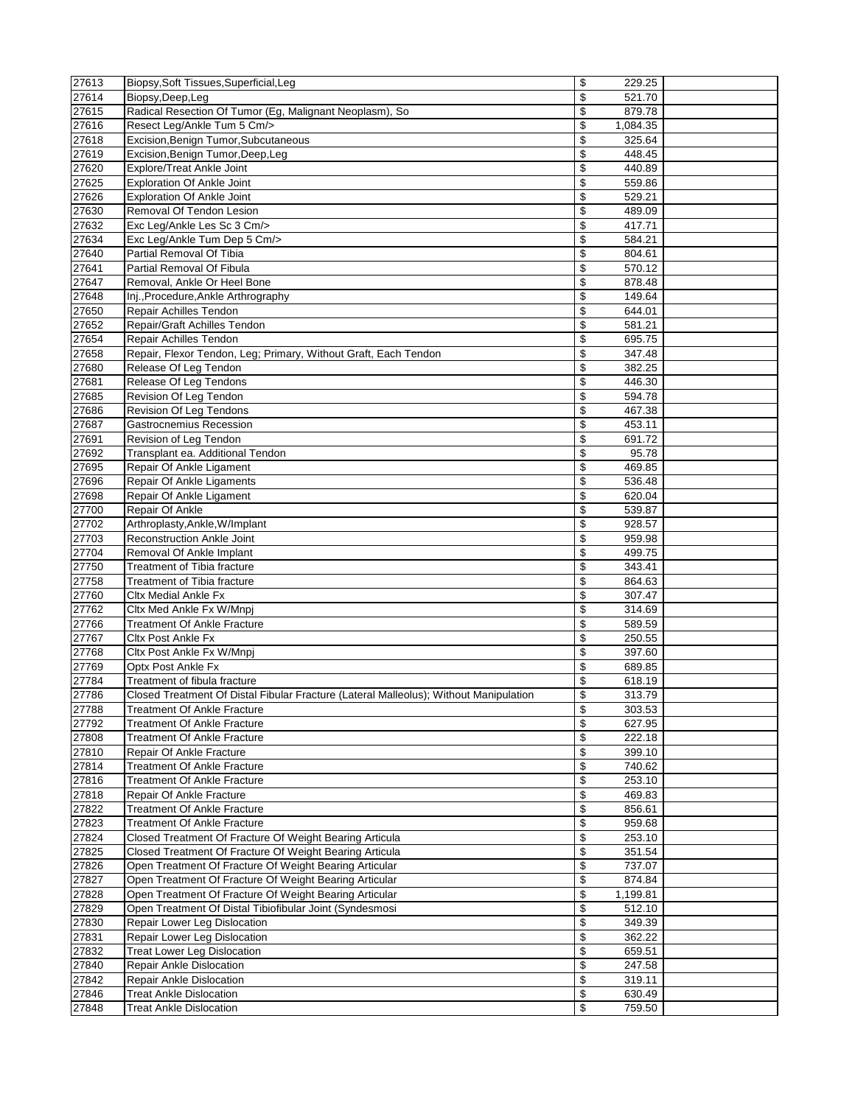| 27613          | Biopsy, Soft Tissues, Superficial, Leg                                                | \$<br>229.25                         |  |
|----------------|---------------------------------------------------------------------------------------|--------------------------------------|--|
| 27614          | Biopsy, Deep, Leg                                                                     | \$<br>521.70                         |  |
| 27615          | Radical Resection Of Tumor (Eg, Malignant Neoplasm), So                               | \$<br>879.78                         |  |
| 27616          | Resect Leg/Ankle Tum 5 Cm/>                                                           | $\overline{\mathcal{L}}$<br>1,084.35 |  |
| 27618          | Excision, Benign Tumor, Subcutaneous                                                  | \$<br>325.64                         |  |
| 27619          | Excision, Benign Tumor, Deep, Leg                                                     | \$<br>448.45                         |  |
| 27620          | Explore/Treat Ankle Joint                                                             | \$<br>440.89                         |  |
| 27625          | <b>Exploration Of Ankle Joint</b>                                                     | \$<br>559.86                         |  |
| 27626          | <b>Exploration Of Ankle Joint</b>                                                     | \$<br>529.21                         |  |
| 27630          | Removal Of Tendon Lesion                                                              | \$<br>489.09                         |  |
| 27632          | Exc Leg/Ankle Les Sc 3 Cm/>                                                           | \$<br>417.71                         |  |
| 27634          | Exc Leg/Ankle Tum Dep 5 Cm/>                                                          | \$<br>584.21                         |  |
| 27640          | Partial Removal Of Tibia                                                              | \$<br>804.61                         |  |
| 27641          | Partial Removal Of Fibula                                                             | \$<br>570.12                         |  |
| 27647          | Removal, Ankle Or Heel Bone                                                           | \$<br>878.48                         |  |
| 27648          | Inj., Procedure, Ankle Arthrography                                                   | \$<br>149.64                         |  |
| 27650          | Repair Achilles Tendon                                                                | \$<br>644.01                         |  |
| 27652          | Repair/Graft Achilles Tendon                                                          | \$<br>581.21                         |  |
| 27654          | Repair Achilles Tendon                                                                | \$<br>695.75                         |  |
| 27658          | Repair, Flexor Tendon, Leg; Primary, Without Graft, Each Tendon                       | \$<br>347.48                         |  |
| 27680          | Release Of Leg Tendon                                                                 | \$<br>382.25                         |  |
| 27681          | Release Of Leg Tendons                                                                | \$<br>446.30                         |  |
| 27685          | Revision Of Leg Tendon                                                                | \$                                   |  |
|                |                                                                                       | 594.78                               |  |
| 27686          | Revision Of Leg Tendons<br>Gastrocnemius Recession                                    | \$<br>467.38                         |  |
| 27687          |                                                                                       | \$<br>453.11                         |  |
| 27691          | Revision of Leg Tendon                                                                | \$<br>691.72                         |  |
| 27692          | Transplant ea. Additional Tendon                                                      | \$<br>95.78                          |  |
| 27695          | Repair Of Ankle Ligament                                                              | \$<br>469.85                         |  |
| 27696          | Repair Of Ankle Ligaments                                                             | \$<br>536.48                         |  |
| 27698          | Repair Of Ankle Ligament                                                              | \$<br>620.04                         |  |
| 27700          | Repair Of Ankle                                                                       | \$<br>539.87                         |  |
| 27702          | Arthroplasty, Ankle, W/Implant                                                        | \$<br>928.57                         |  |
| 27703          | <b>Reconstruction Ankle Joint</b>                                                     | \$<br>959.98                         |  |
| 27704          | Removal Of Ankle Implant                                                              | $\overline{\mathcal{L}}$<br>499.75   |  |
| 27750          | Treatment of Tibia fracture                                                           | \$<br>343.41                         |  |
| 27758          | <b>Treatment of Tibia fracture</b>                                                    | \$<br>864.63                         |  |
| 27760          | <b>Cltx Medial Ankle Fx</b>                                                           | \$<br>307.47                         |  |
| 27762          | Cltx Med Ankle Fx W/Mnpj                                                              | \$<br>314.69                         |  |
| 27766          | <b>Treatment Of Ankle Fracture</b>                                                    | \$<br>589.59                         |  |
| 27767          | <b>Cltx Post Ankle Fx</b>                                                             | \$<br>250.55                         |  |
| 27768          | Cltx Post Ankle Fx W/Mnpj                                                             | \$<br>397.60                         |  |
| 27769          | Optx Post Ankle Fx                                                                    | \$<br>689.85                         |  |
| 27784          | Treatment of fibula fracture                                                          | \$<br>618.19                         |  |
| 27786          | Closed Treatment Of Distal Fibular Fracture (Lateral Malleolus); Without Manipulation | \$<br>313.79                         |  |
| 27788          | <b>Treatment Of Ankle Fracture</b>                                                    | \$<br>303.53                         |  |
| 27792          | <b>Treatment Of Ankle Fracture</b>                                                    | \$<br>627.95                         |  |
| 27808          | <b>Treatment Of Ankle Fracture</b>                                                    | \$<br>222.18                         |  |
| 27810          | Repair Of Ankle Fracture                                                              | \$<br>399.10                         |  |
| 27814          | <b>Treatment Of Ankle Fracture</b>                                                    | \$<br>740.62                         |  |
| 27816          | <b>Treatment Of Ankle Fracture</b>                                                    | \$<br>253.10                         |  |
| 27818          | Repair Of Ankle Fracture                                                              | \$<br>469.83                         |  |
| 27822          | <b>Treatment Of Ankle Fracture</b>                                                    | \$<br>856.61                         |  |
| 27823          | <b>Treatment Of Ankle Fracture</b>                                                    | \$<br>959.68                         |  |
| 27824          | Closed Treatment Of Fracture Of Weight Bearing Articula                               | \$<br>253.10                         |  |
| 27825          | Closed Treatment Of Fracture Of Weight Bearing Articula                               | \$<br>351.54                         |  |
| 27826          | Open Treatment Of Fracture Of Weight Bearing Articular                                | \$<br>737.07                         |  |
| 27827          | Open Treatment Of Fracture Of Weight Bearing Articular                                | \$<br>874.84                         |  |
| 27828          | Open Treatment Of Fracture Of Weight Bearing Articular                                | \$<br>1,199.81                       |  |
| 27829          | Open Treatment Of Distal Tibiofibular Joint (Syndesmosi                               | \$<br>512.10                         |  |
| 27830          | Repair Lower Leg Dislocation                                                          | \$<br>349.39                         |  |
| 27831          | Repair Lower Leg Dislocation                                                          | \$<br>362.22                         |  |
| 27832          | <b>Treat Lower Leg Dislocation</b>                                                    | \$<br>659.51                         |  |
|                | Repair Ankle Dislocation                                                              | \$                                   |  |
| 27840<br>27842 | Repair Ankle Dislocation                                                              | 247.58<br>\$<br>319.11               |  |
| 27846          | <b>Treat Ankle Dislocation</b>                                                        | \$<br>630.49                         |  |
|                |                                                                                       |                                      |  |
| 27848          | <b>Treat Ankle Dislocation</b>                                                        | \$<br>759.50                         |  |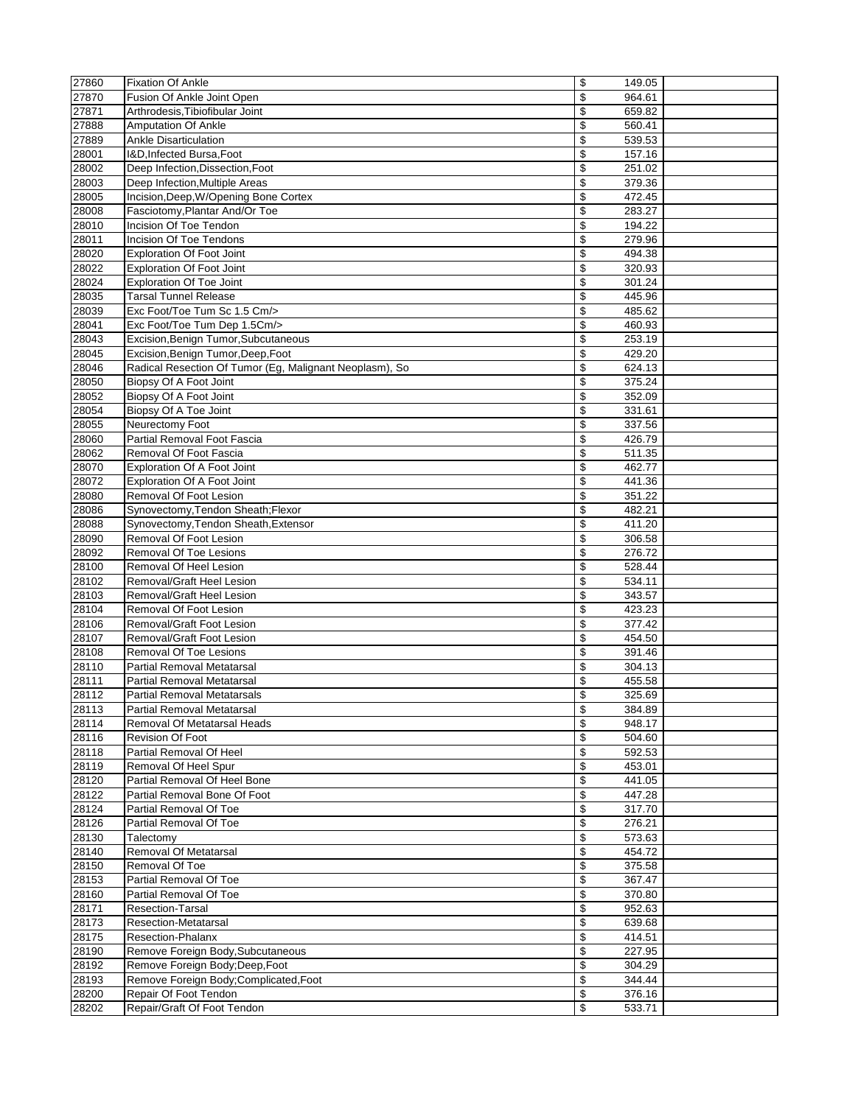| 27860 | <b>Fixation Of Ankle</b>                                | \$<br>149.05 |  |
|-------|---------------------------------------------------------|--------------|--|
| 27870 | Fusion Of Ankle Joint Open                              | \$<br>964.61 |  |
| 27871 | Arthrodesis, Tibiofibular Joint                         | \$<br>659.82 |  |
| 27888 | <b>Amputation Of Ankle</b>                              | \$<br>560.41 |  |
| 27889 | <b>Ankle Disarticulation</b>                            | \$<br>539.53 |  |
| 28001 | I&D, Infected Bursa, Foot                               | \$<br>157.16 |  |
| 28002 | Deep Infection, Dissection, Foot                        | \$<br>251.02 |  |
| 28003 | Deep Infection, Multiple Areas                          | \$<br>379.36 |  |
| 28005 | Incision, Deep, W/Opening Bone Cortex                   | \$<br>472.45 |  |
| 28008 | Fasciotomy, Plantar And/Or Toe                          | \$<br>283.27 |  |
| 28010 | Incision Of Toe Tendon                                  | \$<br>194.22 |  |
| 28011 | Incision Of Toe Tendons                                 | \$<br>279.96 |  |
| 28020 | <b>Exploration Of Foot Joint</b>                        | \$<br>494.38 |  |
| 28022 | <b>Exploration Of Foot Joint</b>                        | \$<br>320.93 |  |
| 28024 | <b>Exploration Of Toe Joint</b>                         | \$<br>301.24 |  |
| 28035 | <b>Tarsal Tunnel Release</b>                            | \$<br>445.96 |  |
| 28039 | Exc Foot/Toe Tum Sc 1.5 Cm/>                            | \$<br>485.62 |  |
| 28041 | Exc Foot/Toe Tum Dep 1.5Cm/>                            | \$<br>460.93 |  |
| 28043 | Excision, Benign Tumor, Subcutaneous                    | \$<br>253.19 |  |
| 28045 | Excision, Benign Tumor, Deep, Foot                      | \$<br>429.20 |  |
| 28046 | Radical Resection Of Tumor (Eg, Malignant Neoplasm), So | \$<br>624.13 |  |
| 28050 | Biopsy Of A Foot Joint                                  | \$<br>375.24 |  |
| 28052 | Biopsy Of A Foot Joint                                  | \$<br>352.09 |  |
| 28054 | Biopsy Of A Toe Joint                                   | \$<br>331.61 |  |
| 28055 | Neurectomy Foot                                         | \$<br>337.56 |  |
| 28060 | Partial Removal Foot Fascia                             | \$<br>426.79 |  |
| 28062 | Removal Of Foot Fascia                                  | \$<br>511.35 |  |
| 28070 | <b>Exploration Of A Foot Joint</b>                      | \$<br>462.77 |  |
| 28072 | <b>Exploration Of A Foot Joint</b>                      | \$<br>441.36 |  |
| 28080 | Removal Of Foot Lesion                                  | \$<br>351.22 |  |
| 28086 | Synovectomy, Tendon Sheath; Flexor                      | \$<br>482.21 |  |
| 28088 | Synovectomy, Tendon Sheath, Extensor                    | \$<br>411.20 |  |
| 28090 | Removal Of Foot Lesion                                  | \$<br>306.58 |  |
| 28092 | Removal Of Toe Lesions                                  | \$<br>276.72 |  |
| 28100 | Removal Of Heel Lesion                                  | \$<br>528.44 |  |
| 28102 | Removal/Graft Heel Lesion                               | \$<br>534.11 |  |
| 28103 | Removal/Graft Heel Lesion                               | \$<br>343.57 |  |
| 28104 | Removal Of Foot Lesion                                  | \$<br>423.23 |  |
| 28106 | Removal/Graft Foot Lesion                               | \$<br>377.42 |  |
| 28107 | Removal/Graft Foot Lesion                               | \$<br>454.50 |  |
| 28108 | Removal Of Toe Lesions                                  | \$<br>391.46 |  |
| 28110 | <b>Partial Removal Metatarsal</b>                       | \$<br>304.13 |  |
| 28111 | <b>Partial Removal Metatarsal</b>                       | \$<br>455.58 |  |
| 28112 | <b>Partial Removal Metatarsals</b>                      | \$<br>325.69 |  |
| 28113 | Partial Removal Metatarsal                              | \$<br>384.89 |  |
| 28114 | Removal Of Metatarsal Heads                             | \$<br>948.17 |  |
| 28116 | <b>Revision Of Foot</b>                                 | \$<br>504.60 |  |
| 28118 | Partial Removal Of Heel                                 | \$<br>592.53 |  |
| 28119 | Removal Of Heel Spur                                    | \$<br>453.01 |  |
| 28120 | Partial Removal Of Heel Bone                            | \$<br>441.05 |  |
| 28122 | Partial Removal Bone Of Foot                            | \$<br>447.28 |  |
| 28124 | Partial Removal Of Toe                                  | \$<br>317.70 |  |
| 28126 | Partial Removal Of Toe                                  | \$<br>276.21 |  |
| 28130 | Talectomy                                               | \$<br>573.63 |  |
| 28140 | <b>Removal Of Metatarsal</b>                            | \$<br>454.72 |  |
| 28150 | Removal Of Toe                                          | \$<br>375.58 |  |
| 28153 | Partial Removal Of Toe                                  | \$<br>367.47 |  |
| 28160 | Partial Removal Of Toe                                  | \$<br>370.80 |  |
| 28171 | <b>Resection-Tarsal</b>                                 | \$<br>952.63 |  |
| 28173 | Resection-Metatarsal                                    | \$<br>639.68 |  |
| 28175 | <b>Resection-Phalanx</b>                                | \$<br>414.51 |  |
| 28190 | Remove Foreign Body, Subcutaneous                       | \$<br>227.95 |  |
| 28192 | Remove Foreign Body; Deep, Foot                         | \$<br>304.29 |  |
| 28193 | Remove Foreign Body;Complicated,Foot                    | \$<br>344.44 |  |
| 28200 | Repair Of Foot Tendon                                   | \$<br>376.16 |  |
| 28202 | Repair/Graft Of Foot Tendon                             | \$<br>533.71 |  |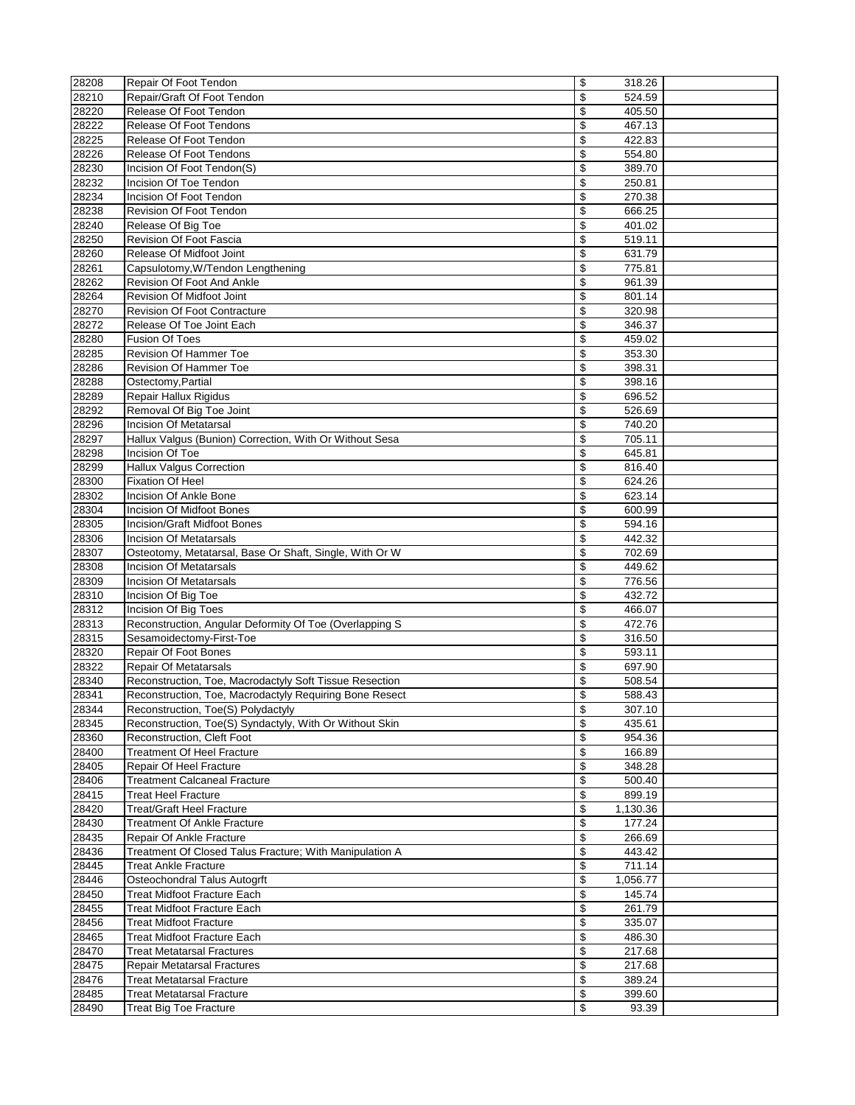| 28208          | Repair Of Foot Tendon                                           | \$<br>318.26                 |  |
|----------------|-----------------------------------------------------------------|------------------------------|--|
| 28210          | Repair/Graft Of Foot Tendon                                     | \$<br>524.59                 |  |
| 28220          | Release Of Foot Tendon                                          | \$<br>405.50                 |  |
| 28222          | <b>Release Of Foot Tendons</b>                                  | \$<br>467.13                 |  |
| 28225          | Release Of Foot Tendon                                          | \$<br>422.83                 |  |
| 28226          | Release Of Foot Tendons                                         | \$<br>554.80                 |  |
| 28230          | Incision Of Foot Tendon(S)                                      | \$<br>389.70                 |  |
| 28232          | Incision Of Toe Tendon                                          | \$<br>250.81                 |  |
| 28234          | Incision Of Foot Tendon                                         | \$<br>270.38                 |  |
| 28238          | Revision Of Foot Tendon                                         | \$<br>666.25                 |  |
| 28240          | Release Of Big Toe                                              | \$<br>401.02                 |  |
| 28250          | Revision Of Foot Fascia                                         | \$<br>519.11                 |  |
| 28260          | Release Of Midfoot Joint                                        | \$<br>631.79                 |  |
| 28261          | Capsulotomy, W/Tendon Lengthening                               | \$<br>775.81                 |  |
| 28262          | Revision Of Foot And Ankle                                      | \$<br>961.39                 |  |
| 28264          | Revision Of Midfoot Joint                                       | \$<br>801.14                 |  |
| 28270          | <b>Revision Of Foot Contracture</b>                             | \$<br>320.98                 |  |
| 28272          | Release Of Toe Joint Each                                       | \$<br>346.37                 |  |
| 28280<br>28285 | <b>Fusion Of Toes</b><br><b>Revision Of Hammer Toe</b>          | \$<br>459.02<br>\$           |  |
| 28286          | <b>Revision Of Hammer Toe</b>                                   | 353.30<br>\$<br>398.31       |  |
| 28288          | Ostectomy, Partial                                              | \$<br>398.16                 |  |
| 28289          | Repair Hallux Rigidus                                           | \$<br>696.52                 |  |
| 28292          | Removal Of Big Toe Joint                                        | \$<br>526.69                 |  |
| 28296          | <b>Incision Of Metatarsal</b>                                   | \$<br>740.20                 |  |
| 28297          | Hallux Valgus (Bunion) Correction, With Or Without Sesa         | \$<br>705.11                 |  |
| 28298          | Incision Of Toe                                                 | \$<br>645.81                 |  |
| 28299          | <b>Hallux Valgus Correction</b>                                 | \$<br>816.40                 |  |
| 28300          | <b>Fixation Of Heel</b>                                         | \$<br>624.26                 |  |
| 28302          | Incision Of Ankle Bone                                          | \$<br>623.14                 |  |
| 28304          | <b>Incision Of Midfoot Bones</b>                                | \$<br>600.99                 |  |
| 28305          | <b>Incision/Graft Midfoot Bones</b>                             | \$<br>594.16                 |  |
| 28306          | <b>Incision Of Metatarsals</b>                                  | \$<br>442.32                 |  |
| 28307          | Osteotomy, Metatarsal, Base Or Shaft, Single, With Or W         | \$<br>702.69                 |  |
| 28308          | <b>Incision Of Metatarsals</b>                                  | \$<br>449.62                 |  |
| 28309          | <b>Incision Of Metatarsals</b>                                  | \$<br>776.56                 |  |
| 28310          | Incision Of Big Toe                                             | \$<br>432.72                 |  |
| 28312          | Incision Of Big Toes                                            | \$<br>466.07                 |  |
| 28313          | Reconstruction, Angular Deformity Of Toe (Overlapping S         | \$<br>472.76                 |  |
| 28315          | Sesamoidectomy-First-Toe                                        | \$<br>316.50                 |  |
| 28320          | Repair Of Foot Bones                                            | \$<br>593.11                 |  |
| 28322          | <b>Repair Of Metatarsals</b>                                    | \$<br>697.90                 |  |
| 28340          | Reconstruction, Toe, Macrodactyly Soft Tissue Resection         | \$<br>508.54                 |  |
| 28341          | Reconstruction, Toe, Macrodactyly Requiring Bone Resect         | \$<br>588.43                 |  |
| 28344          | Reconstruction, Toe(S) Polydactyly                              | \$<br>307.10                 |  |
| 28345          | Reconstruction, Toe(S) Syndactyly, With Or Without Skin         | \$<br>435.61                 |  |
| 28360<br>28400 | Reconstruction, Cleft Foot<br><b>Treatment Of Heel Fracture</b> | \$<br>954.36<br>\$<br>166.89 |  |
| 28405          | Repair Of Heel Fracture                                         | \$<br>348.28                 |  |
| 28406          | <b>Treatment Calcaneal Fracture</b>                             | \$<br>500.40                 |  |
| 28415          | <b>Treat Heel Fracture</b>                                      | \$<br>899.19                 |  |
| 28420          | <b>Treat/Graft Heel Fracture</b>                                | \$<br>1,130.36               |  |
| 28430          | Treatment Of Ankle Fracture                                     | \$<br>177.24                 |  |
| 28435          | Repair Of Ankle Fracture                                        | \$<br>266.69                 |  |
| 28436          | Treatment Of Closed Talus Fracture; With Manipulation A         | \$<br>443.42                 |  |
| 28445          | <b>Treat Ankle Fracture</b>                                     | \$<br>711.14                 |  |
| 28446          | Osteochondral Talus Autogrft                                    | \$<br>1,056.77               |  |
| 28450          | <b>Treat Midfoot Fracture Each</b>                              | \$<br>145.74                 |  |
| 28455          | <b>Treat Midfoot Fracture Each</b>                              | \$<br>261.79                 |  |
| 28456          | <b>Treat Midfoot Fracture</b>                                   | \$<br>335.07                 |  |
| 28465          | <b>Treat Midfoot Fracture Each</b>                              | \$<br>486.30                 |  |
| 28470          | <b>Treat Metatarsal Fractures</b>                               | \$<br>217.68                 |  |
| 28475          | <b>Repair Metatarsal Fractures</b>                              | \$<br>217.68                 |  |
| 28476          | Treat Metatarsal Fracture                                       | \$<br>389.24                 |  |
| 28485          | <b>Treat Metatarsal Fracture</b>                                | \$<br>399.60                 |  |
| 28490          | <b>Treat Big Toe Fracture</b>                                   | \$<br>93.39                  |  |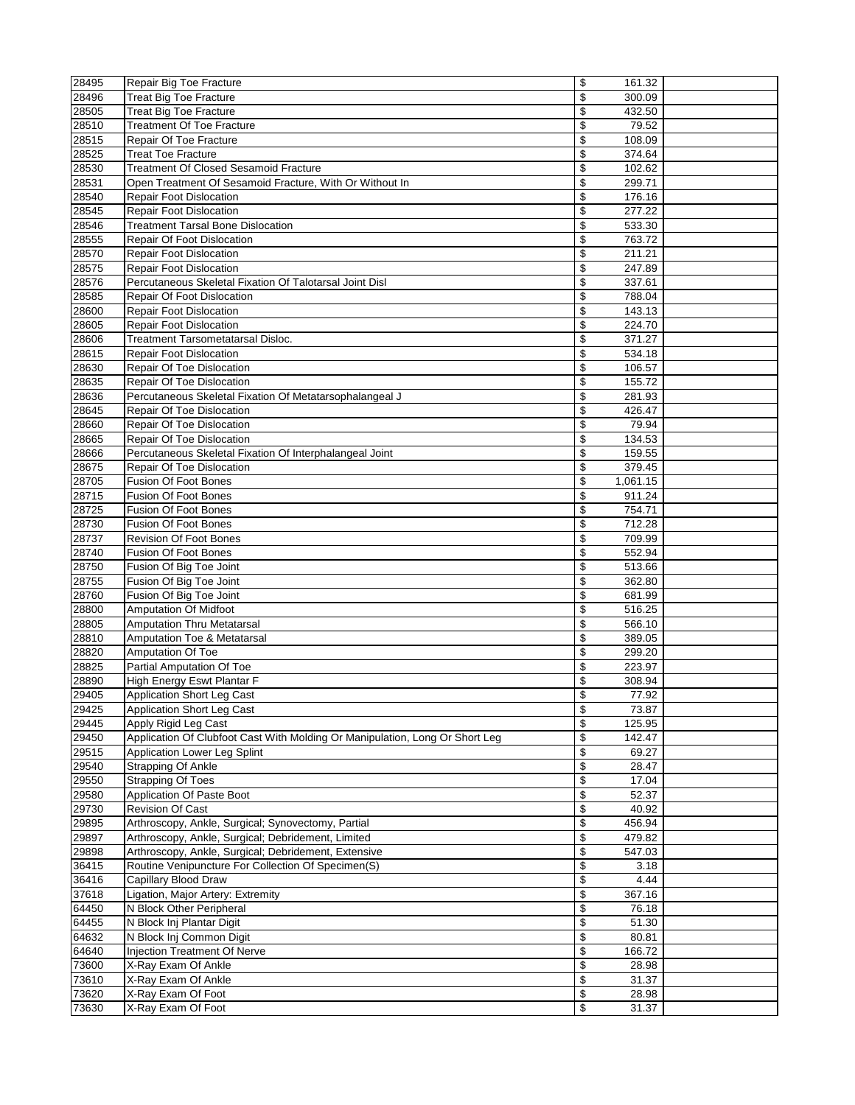| 28495 | Repair Big Toe Fracture                                                      | \$<br>161.32                       |  |
|-------|------------------------------------------------------------------------------|------------------------------------|--|
| 28496 | <b>Treat Big Toe Fracture</b>                                                | \$<br>300.09                       |  |
| 28505 | <b>Treat Big Toe Fracture</b>                                                | \$<br>432.50                       |  |
| 28510 | <b>Treatment Of Toe Fracture</b>                                             | $\overline{\mathcal{L}}$<br>79.52  |  |
| 28515 | Repair Of Toe Fracture                                                       | \$<br>108.09                       |  |
| 28525 | <b>Treat Toe Fracture</b>                                                    | \$<br>374.64                       |  |
| 28530 | <b>Treatment Of Closed Sesamoid Fracture</b>                                 | \$<br>102.62                       |  |
| 28531 | Open Treatment Of Sesamoid Fracture, With Or Without In                      | \$<br>299.71                       |  |
| 28540 | Repair Foot Dislocation                                                      | \$<br>176.16                       |  |
| 28545 | <b>Repair Foot Dislocation</b>                                               | \$<br>277.22                       |  |
| 28546 | <b>Treatment Tarsal Bone Dislocation</b>                                     | \$<br>533.30                       |  |
| 28555 | <b>Repair Of Foot Dislocation</b>                                            | \$<br>763.72                       |  |
| 28570 | <b>Repair Foot Dislocation</b>                                               | \$<br>211.21                       |  |
| 28575 | <b>Repair Foot Dislocation</b>                                               | \$<br>247.89                       |  |
| 28576 | Percutaneous Skeletal Fixation Of Talotarsal Joint Disl                      | \$<br>337.61                       |  |
| 28585 | Repair Of Foot Dislocation                                                   | \$<br>788.04                       |  |
| 28600 | <b>Repair Foot Dislocation</b>                                               | \$<br>143.13                       |  |
|       |                                                                              |                                    |  |
| 28605 | Repair Foot Dislocation                                                      | \$<br>224.70                       |  |
| 28606 | <b>Treatment Tarsometatarsal Disloc.</b>                                     | \$<br>371.27                       |  |
| 28615 | Repair Foot Dislocation                                                      | \$<br>534.18                       |  |
| 28630 | Repair Of Toe Dislocation                                                    | \$<br>106.57                       |  |
| 28635 | Repair Of Toe Dislocation                                                    | \$<br>155.72                       |  |
| 28636 | Percutaneous Skeletal Fixation Of Metatarsophalangeal J                      | \$<br>281.93                       |  |
| 28645 | Repair Of Toe Dislocation                                                    | \$<br>426.47                       |  |
| 28660 | Repair Of Toe Dislocation                                                    | \$<br>79.94                        |  |
| 28665 | Repair Of Toe Dislocation                                                    | \$<br>134.53                       |  |
| 28666 | Percutaneous Skeletal Fixation Of Interphalangeal Joint                      | \$<br>159.55                       |  |
| 28675 | Repair Of Toe Dislocation                                                    | \$<br>379.45                       |  |
| 28705 | <b>Fusion Of Foot Bones</b>                                                  | \$<br>1,061.15                     |  |
| 28715 | Fusion Of Foot Bones                                                         | \$<br>911.24                       |  |
| 28725 | <b>Fusion Of Foot Bones</b>                                                  | \$<br>754.71                       |  |
| 28730 | <b>Fusion Of Foot Bones</b>                                                  | \$<br>712.28                       |  |
| 28737 | <b>Revision Of Foot Bones</b>                                                | \$<br>709.99                       |  |
|       | <b>Fusion Of Foot Bones</b>                                                  | $\overline{\mathcal{L}}$<br>552.94 |  |
| 28740 |                                                                              |                                    |  |
| 28750 | Fusion Of Big Toe Joint                                                      | \$<br>513.66                       |  |
| 28755 | Fusion Of Big Toe Joint                                                      | \$<br>362.80                       |  |
| 28760 | Fusion Of Big Toe Joint                                                      | \$<br>681.99                       |  |
| 28800 | <b>Amputation Of Midfoot</b>                                                 | \$<br>516.25                       |  |
| 28805 | <b>Amputation Thru Metatarsal</b>                                            | \$<br>566.10                       |  |
| 28810 | Amputation Toe & Metatarsal                                                  | \$<br>389.05                       |  |
| 28820 | Amputation Of Toe                                                            | \$<br>299.20                       |  |
| 28825 | Partial Amputation Of Toe                                                    | \$<br>223.97                       |  |
| 28890 | High Energy Eswt Plantar F                                                   | \$<br>308.94                       |  |
| 29405 | <b>Application Short Leg Cast</b>                                            | \$<br>77.92                        |  |
| 29425 | Application Short Leg Cast                                                   | \$<br>73.87                        |  |
| 29445 | Apply Rigid Leg Cast                                                         | \$<br>125.95                       |  |
| 29450 | Application Of Clubfoot Cast With Molding Or Manipulation, Long Or Short Leg | \$<br>142.47                       |  |
| 29515 | Application Lower Leg Splint                                                 | \$<br>69.27                        |  |
| 29540 | Strapping Of Ankle                                                           | \$<br>28.47                        |  |
| 29550 | <b>Strapping Of Toes</b>                                                     | \$<br>17.04                        |  |
| 29580 | Application Of Paste Boot                                                    | \$<br>52.37                        |  |
| 29730 | <b>Revision Of Cast</b>                                                      | \$<br>40.92                        |  |
| 29895 | Arthroscopy, Ankle, Surgical; Synovectomy, Partial                           | \$<br>456.94                       |  |
| 29897 | Arthroscopy, Ankle, Surgical; Debridement, Limited                           | \$<br>479.82                       |  |
| 29898 | Arthroscopy, Ankle, Surgical; Debridement, Extensive                         | \$<br>547.03                       |  |
|       |                                                                              |                                    |  |
| 36415 | Routine Venipuncture For Collection Of Specimen(S)                           | \$<br>3.18                         |  |
| 36416 | Capillary Blood Draw                                                         | \$<br>4.44                         |  |
| 37618 | Ligation, Major Artery: Extremity                                            | \$<br>367.16                       |  |
| 64450 | N Block Other Peripheral                                                     | \$<br>76.18                        |  |
| 64455 | N Block Inj Plantar Digit                                                    | \$<br>51.30                        |  |
| 64632 | N Block Inj Common Digit                                                     | \$<br>80.81                        |  |
| 64640 | Injection Treatment Of Nerve                                                 | \$<br>166.72                       |  |
| 73600 | X-Ray Exam Of Ankle                                                          | \$<br>28.98                        |  |
| 73610 | X-Ray Exam Of Ankle                                                          | \$<br>31.37                        |  |
| 73620 | X-Ray Exam Of Foot                                                           | \$<br>28.98                        |  |
| 73630 | X-Ray Exam Of Foot                                                           | \$<br>31.37                        |  |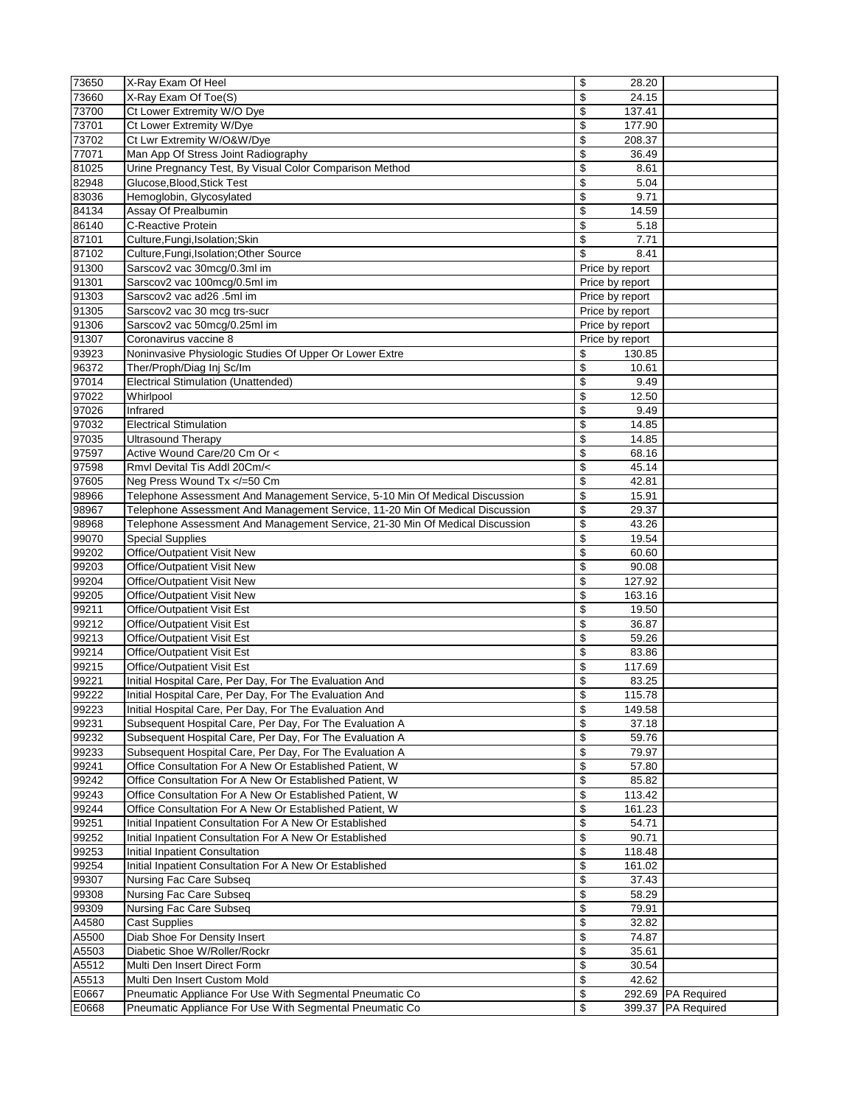| 73650          | X-Ray Exam Of Heel                                                                 | \$<br>28.20                      |                    |
|----------------|------------------------------------------------------------------------------------|----------------------------------|--------------------|
| 73660          | X-Ray Exam Of Toe(S)                                                               | \$<br>24.15                      |                    |
| 73700          | Ct Lower Extremity W/O Dye                                                         | \$<br>137.41                     |                    |
| 73701          | Ct Lower Extremity W/Dye                                                           | \$<br>177.90                     |                    |
| 73702          | Ct Lwr Extremity W/O&W/Dye                                                         | \$<br>208.37                     |                    |
| 77071          | Man App Of Stress Joint Radiography                                                | \$<br>36.49                      |                    |
| 81025          | Urine Pregnancy Test, By Visual Color Comparison Method                            | \$<br>8.61                       |                    |
| 82948          | Glucose, Blood, Stick Test                                                         | $\overline{\mathcal{L}}$<br>5.04 |                    |
| 83036          | Hemoglobin, Glycosylated                                                           | \$<br>9.71                       |                    |
| 84134          | Assay Of Prealbumin                                                                | \$<br>14.59                      |                    |
| 86140          | C-Reactive Protein                                                                 | \$<br>5.18                       |                    |
| 87101          | Culture, Fungi, Isolation; Skin                                                    | \$<br>7.71                       |                    |
| 87102          | Culture, Fungi, Isolation; Other Source                                            | \$<br>8.41                       |                    |
| 91300          | Sarscov2 vac 30mcg/0.3ml im                                                        | Price by report                  |                    |
| 91301          | Sarscov2 vac 100mcg/0.5ml im                                                       | Price by report                  |                    |
| 91303          | Sarscov2 vac ad26 .5ml im                                                          | Price by report                  |                    |
| 91305          | Sarscov2 vac 30 mcg trs-sucr                                                       | Price by report                  |                    |
| 91306          | Sarscov2 vac 50mcg/0.25ml im                                                       | Price by report                  |                    |
| 91307          | Coronavirus vaccine 8                                                              | Price by report                  |                    |
| 93923          | Noninvasive Physiologic Studies Of Upper Or Lower Extre                            | \$<br>130.85                     |                    |
| 96372          | Ther/Proph/Diag Inj Sc/Im                                                          | \$<br>10.61                      |                    |
| 97014          | <b>Electrical Stimulation (Unattended)</b>                                         | \$<br>9.49                       |                    |
| 97022          | Whirlpool                                                                          | \$<br>12.50                      |                    |
| 97026          | Infrared                                                                           | \$<br>9.49                       |                    |
| 97032<br>97035 | <b>Electrical Stimulation</b><br><b>Ultrasound Therapy</b>                         | \$<br>14.85<br>\$<br>14.85       |                    |
|                | Active Wound Care/20 Cm Or <                                                       | \$<br>68.16                      |                    |
| 97597<br>97598 | Rmvl Devital Tis Addl 20Cm/<                                                       | \$<br>45.14                      |                    |
| 97605          | Neg Press Wound Tx =50 Cm</td <td>\$<br/>42.81</td> <td></td>                      | \$<br>42.81                      |                    |
| 98966          | Telephone Assessment And Management Service, 5-10 Min Of Medical Discussion        | \$<br>15.91                      |                    |
| 98967          | Telephone Assessment And Management Service, 11-20 Min Of Medical Discussion       | \$<br>29.37                      |                    |
| 98968          | Telephone Assessment And Management Service, 21-30 Min Of Medical Discussion       | \$<br>43.26                      |                    |
| 99070          | <b>Special Supplies</b>                                                            | \$<br>19.54                      |                    |
| 99202          | Office/Outpatient Visit New                                                        | \$<br>60.60                      |                    |
| 99203          | Office/Outpatient Visit New                                                        | \$<br>90.08                      |                    |
| 99204          | Office/Outpatient Visit New                                                        | \$<br>127.92                     |                    |
| 99205          | Office/Outpatient Visit New                                                        | \$<br>163.16                     |                    |
| 99211          | Office/Outpatient Visit Est                                                        | \$<br>19.50                      |                    |
| 99212          | Office/Outpatient Visit Est                                                        | \$<br>36.87                      |                    |
| 99213          | Office/Outpatient Visit Est                                                        | \$<br>59.26                      |                    |
| 99214          | Office/Outpatient Visit Est                                                        | \$<br>83.86                      |                    |
| 99215          | Office/Outpatient Visit Est                                                        | \$<br>117.69                     |                    |
| 99221          | Initial Hospital Care, Per Day, For The Evaluation And                             | \$<br>83.25                      |                    |
| 99222          | Initial Hospital Care, Per Day, For The Evaluation And                             | \$<br>115.78                     |                    |
| 99223          | Initial Hospital Care, Per Day, For The Evaluation And                             | \$<br>149.58                     |                    |
| 99231          | Subsequent Hospital Care, Per Day, For The Evaluation A                            | \$<br>37.18                      |                    |
| 99232          | Subsequent Hospital Care, Per Day, For The Evaluation A                            | \$<br>59.76                      |                    |
| 99233          | Subsequent Hospital Care, Per Day, For The Evaluation A                            | \$<br>79.97                      |                    |
| 99241          | Office Consultation For A New Or Established Patient, W                            | \$<br>57.80                      |                    |
| 99242          | Office Consultation For A New Or Established Patient, W                            | \$<br>85.82                      |                    |
| 99243          | Office Consultation For A New Or Established Patient, W                            | \$<br>113.42                     |                    |
| 99244          | Office Consultation For A New Or Established Patient, W                            | \$<br>161.23                     |                    |
| 99251          | Initial Inpatient Consultation For A New Or Established                            | \$<br>54.71                      |                    |
| 99252          | Initial Inpatient Consultation For A New Or Established                            | \$<br>90.71                      |                    |
| 99253          | Initial Inpatient Consultation                                                     | \$<br>118.48                     |                    |
| 99254          | Initial Inpatient Consultation For A New Or Established<br>Nursing Fac Care Subseq | \$<br>161.02                     |                    |
| 99307<br>99308 | Nursing Fac Care Subseq                                                            | \$<br>37.43<br>\$<br>58.29       |                    |
| 99309          | Nursing Fac Care Subseq                                                            | \$<br>79.91                      |                    |
| A4580          | <b>Cast Supplies</b>                                                               | \$<br>32.82                      |                    |
| A5500          | Diab Shoe For Density Insert                                                       | \$<br>74.87                      |                    |
| A5503          | Diabetic Shoe W/Roller/Rockr                                                       | \$<br>35.61                      |                    |
| A5512          | Multi Den Insert Direct Form                                                       | \$<br>30.54                      |                    |
| A5513          | Multi Den Insert Custom Mold                                                       | \$<br>42.62                      |                    |
| E0667          | Pneumatic Appliance For Use With Segmental Pneumatic Co                            | \$                               | 292.69 PA Required |
| E0668          | Pneumatic Appliance For Use With Segmental Pneumatic Co                            | \$                               | 399.37 PA Required |
|                |                                                                                    |                                  |                    |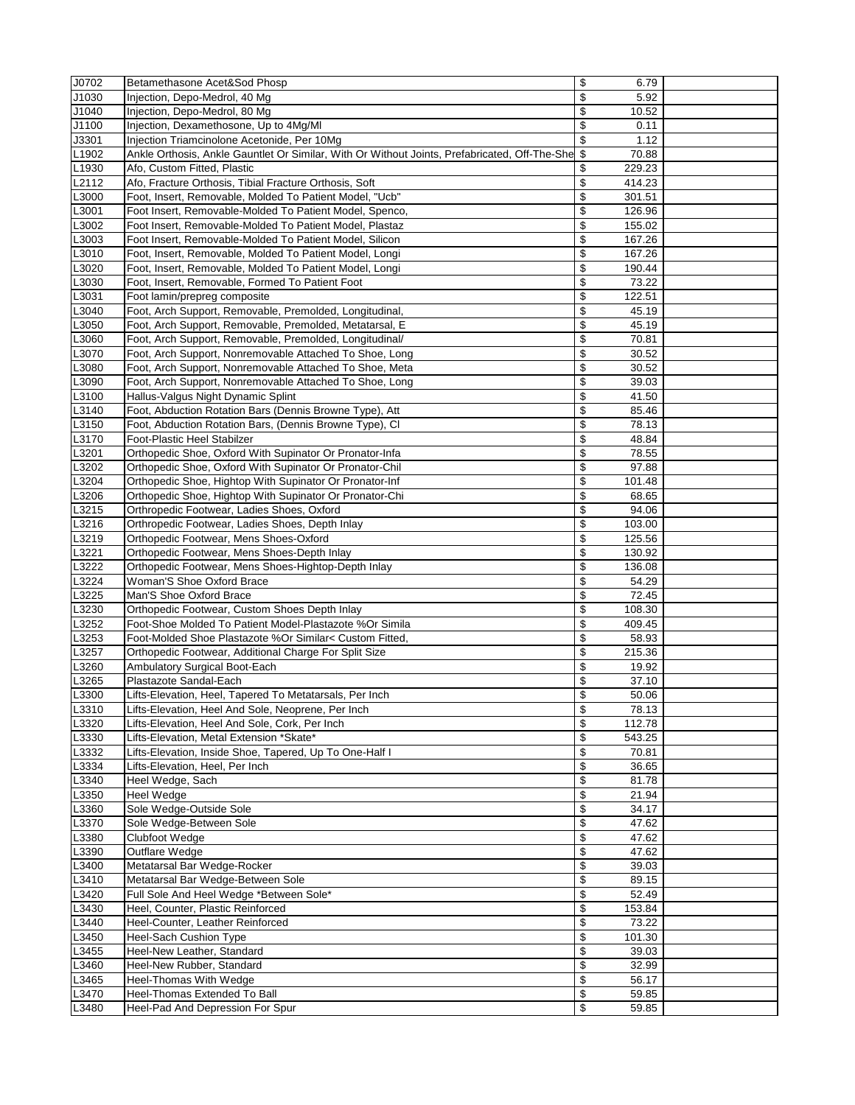| J0702 | Betamethasone Acet&Sod Phosp                                                                     | \$<br>6.79                         |  |
|-------|--------------------------------------------------------------------------------------------------|------------------------------------|--|
| J1030 | Injection, Depo-Medrol, 40 Mg                                                                    | \$<br>5.92                         |  |
| J1040 | Injection, Depo-Medrol, 80 Mg                                                                    | \$<br>10.52                        |  |
| J1100 | Injection, Dexamethosone, Up to 4Mg/MI                                                           | \$<br>0.11                         |  |
| J3301 | Injection Triamcinolone Acetonide, Per 10Mg                                                      | \$<br>1.12                         |  |
| L1902 | Ankle Orthosis, Ankle Gauntlet Or Similar, With Or Without Joints, Prefabricated, Off-The-She \$ | 70.88                              |  |
| L1930 | Afo, Custom Fitted, Plastic                                                                      | 229.23<br>\$                       |  |
|       |                                                                                                  |                                    |  |
| L2112 | Afo, Fracture Orthosis, Tibial Fracture Orthosis, Soft                                           | \$<br>414.23                       |  |
| L3000 | Foot, Insert, Removable, Molded To Patient Model, "Ucb"                                          | \$<br>301.51                       |  |
| L3001 | Foot Insert, Removable-Molded To Patient Model, Spenco,                                          | \$<br>126.96                       |  |
| L3002 | Foot Insert, Removable-Molded To Patient Model, Plastaz                                          | \$<br>155.02                       |  |
| L3003 | Foot Insert, Removable-Molded To Patient Model, Silicon                                          | \$<br>167.26                       |  |
| L3010 | Foot, Insert, Removable, Molded To Patient Model, Longi                                          | \$<br>167.26                       |  |
| L3020 | Foot, Insert, Removable, Molded To Patient Model, Longi                                          | \$<br>190.44                       |  |
| L3030 | Foot, Insert, Removable, Formed To Patient Foot                                                  | \$<br>73.22                        |  |
| L3031 | Foot lamin/prepreg composite                                                                     | \$<br>122.51                       |  |
| L3040 | Foot, Arch Support, Removable, Premolded, Longitudinal,                                          | \$<br>45.19                        |  |
| L3050 | Foot, Arch Support, Removable, Premolded, Metatarsal, E                                          | \$<br>45.19                        |  |
| L3060 | Foot, Arch Support, Removable, Premolded, Longitudinal/                                          | \$<br>70.81                        |  |
| L3070 | Foot, Arch Support, Nonremovable Attached To Shoe, Long                                          | \$<br>30.52                        |  |
| L3080 | Foot, Arch Support, Nonremovable Attached To Shoe, Meta                                          | \$<br>30.52                        |  |
| L3090 | Foot, Arch Support, Nonremovable Attached To Shoe, Long                                          | \$<br>39.03                        |  |
|       |                                                                                                  |                                    |  |
| L3100 | Hallus-Valgus Night Dynamic Splint                                                               | \$<br>41.50                        |  |
| L3140 | Foot, Abduction Rotation Bars (Dennis Browne Type), Att                                          | \$<br>85.46                        |  |
| L3150 | Foot, Abduction Rotation Bars, (Dennis Browne Type), CI                                          | \$<br>78.13                        |  |
| L3170 | Foot-Plastic Heel Stabilzer                                                                      | \$<br>48.84                        |  |
| L3201 | Orthopedic Shoe, Oxford With Supinator Or Pronator-Infa                                          | \$<br>78.55                        |  |
| L3202 | Orthopedic Shoe, Oxford With Supinator Or Pronator-Chil                                          | \$<br>97.88                        |  |
| L3204 | Orthopedic Shoe, Hightop With Supinator Or Pronator-Inf                                          | \$<br>101.48                       |  |
| L3206 | Orthopedic Shoe, Hightop With Supinator Or Pronator-Chi                                          | \$<br>68.65                        |  |
| L3215 | Orthropedic Footwear, Ladies Shoes, Oxford                                                       | \$<br>94.06                        |  |
| L3216 | Orthropedic Footwear, Ladies Shoes, Depth Inlay                                                  | \$<br>103.00                       |  |
| L3219 | Orthopedic Footwear, Mens Shoes-Oxford                                                           | \$<br>125.56                       |  |
| L3221 | Orthopedic Footwear, Mens Shoes-Depth Inlay                                                      | $\overline{\mathcal{L}}$<br>130.92 |  |
| L3222 | Orthopedic Footwear, Mens Shoes-Hightop-Depth Inlay                                              | \$<br>136.08                       |  |
| L3224 | Woman'S Shoe Oxford Brace                                                                        | \$<br>54.29                        |  |
| L3225 | Man'S Shoe Oxford Brace                                                                          | \$<br>72.45                        |  |
| L3230 | Orthopedic Footwear, Custom Shoes Depth Inlay                                                    | \$<br>108.30                       |  |
|       |                                                                                                  |                                    |  |
| L3252 | Foot-Shoe Molded To Patient Model-Plastazote %Or Simila                                          | \$<br>409.45                       |  |
| L3253 | Foot-Molded Shoe Plastazote %Or Similar< Custom Fitted,                                          | \$<br>58.93                        |  |
| L3257 | Orthopedic Footwear, Additional Charge For Split Size                                            | \$<br>215.36                       |  |
| L3260 | Ambulatory Surgical Boot-Each                                                                    | \$<br>19.92                        |  |
| L3265 | Plastazote Sandal-Each                                                                           | \$<br>37.10                        |  |
| L3300 | Lifts-Elevation, Heel, Tapered To Metatarsals, Per Inch                                          | \$<br>50.06                        |  |
| L3310 | Lifts-Elevation, Heel And Sole, Neoprene, Per Inch                                               | \$<br>78.13                        |  |
| L3320 | Lifts-Elevation, Heel And Sole, Cork, Per Inch                                                   | \$<br>112.78                       |  |
| L3330 | Lifts-Elevation, Metal Extension *Skate*                                                         | \$<br>543.25                       |  |
| L3332 | Lifts-Elevation, Inside Shoe, Tapered, Up To One-Half I                                          | \$<br>70.81                        |  |
| L3334 | Lifts-Elevation, Heel, Per Inch                                                                  | \$<br>36.65                        |  |
| L3340 | Heel Wedge, Sach                                                                                 | \$<br>81.78                        |  |
| L3350 | Heel Wedge                                                                                       | $\overline{\mathcal{E}}$<br>21.94  |  |
| L3360 | Sole Wedge-Outside Sole                                                                          | \$<br>34.17                        |  |
| L3370 | Sole Wedge-Between Sole                                                                          | \$<br>47.62                        |  |
| L3380 | Clubfoot Wedge                                                                                   | \$<br>47.62                        |  |
|       |                                                                                                  |                                    |  |
| L3390 | Outflare Wedge                                                                                   | \$<br>47.62                        |  |
| L3400 | Metatarsal Bar Wedge-Rocker                                                                      | \$<br>39.03                        |  |
| L3410 | Metatarsal Bar Wedge-Between Sole                                                                | \$<br>89.15                        |  |
| L3420 | Full Sole And Heel Wedge *Between Sole*                                                          | \$<br>52.49                        |  |
| L3430 | Heel, Counter, Plastic Reinforced                                                                | \$<br>153.84                       |  |
| L3440 | Heel-Counter, Leather Reinforced                                                                 | \$<br>73.22                        |  |
| L3450 | Heel-Sach Cushion Type                                                                           | \$<br>101.30                       |  |
| L3455 | Heel-New Leather, Standard                                                                       | \$<br>39.03                        |  |
| L3460 | Heel-New Rubber, Standard                                                                        | \$<br>32.99                        |  |
| L3465 | Heel-Thomas With Wedge                                                                           | \$<br>56.17                        |  |
| L3470 | Heel-Thomas Extended To Ball                                                                     | \$<br>59.85                        |  |
| L3480 | Heel-Pad And Depression For Spur                                                                 | \$<br>59.85                        |  |
|       |                                                                                                  |                                    |  |